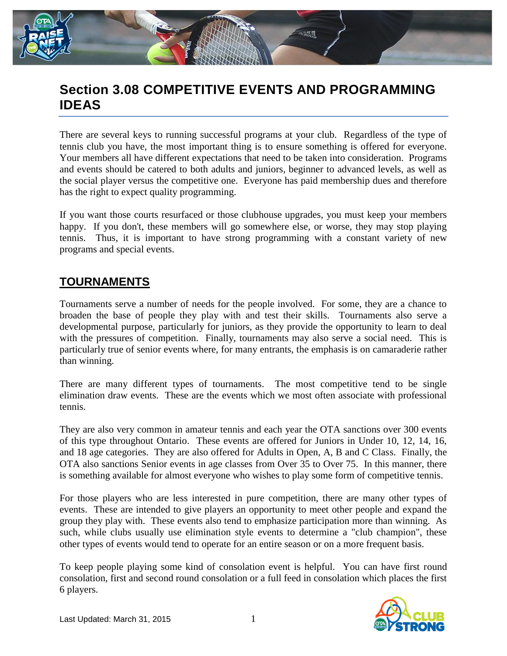

# **Section 3.08 COMPETITIVE EVENTS AND PROGRAMMING IDEAS**

There are several keys to running successful programs at your club. Regardless of the type of tennis club you have, the most important thing is to ensure something is offered for everyone. Your members all have different expectations that need to be taken into consideration. Programs and events should be catered to both adults and juniors, beginner to advanced levels, as well as the social player versus the competitive one. Everyone has paid membership dues and therefore has the right to expect quality programming.

If you want those courts resurfaced or those clubhouse upgrades, you must keep your members happy. If you don't, these members will go somewhere else, or worse, they may stop playing tennis. Thus, it is important to have strong programming with a constant variety of new programs and special events.

### **TOURNAMENTS**

Tournaments serve a number of needs for the people involved. For some, they are a chance to broaden the base of people they play with and test their skills. Tournaments also serve a developmental purpose, particularly for juniors, as they provide the opportunity to learn to deal with the pressures of competition. Finally, tournaments may also serve a social need. This is particularly true of senior events where, for many entrants, the emphasis is on camaraderie rather than winning.

There are many different types of tournaments. The most competitive tend to be single elimination draw events. These are the events which we most often associate with professional tennis.

They are also very common in amateur tennis and each year the OTA sanctions over 300 events of this type throughout Ontario. These events are offered for Juniors in Under 10, 12, 14, 16, and 18 age categories. They are also offered for Adults in Open, A, B and C Class. Finally, the OTA also sanctions Senior events in age classes from Over 35 to Over 75. In this manner, there is something available for almost everyone who wishes to play some form of competitive tennis.

For those players who are less interested in pure competition, there are many other types of events. These are intended to give players an opportunity to meet other people and expand the group they play with. These events also tend to emphasize participation more than winning. As such, while clubs usually use elimination style events to determine a "club champion", these other types of events would tend to operate for an entire season or on a more frequent basis.

To keep people playing some kind of consolation event is helpful. You can have first round consolation, first and second round consolation or a full feed in consolation which places the first 6 players.

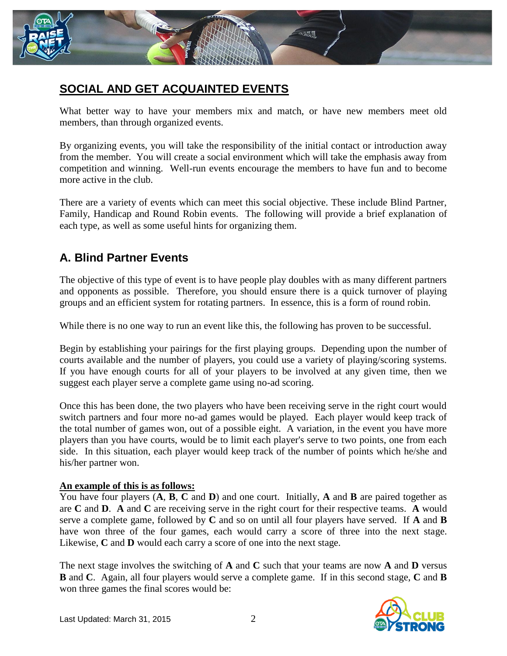

## **SOCIAL AND GET ACQUAINTED EVENTS**

What better way to have your members mix and match, or have new members meet old members, than through organized events.

By organizing events, you will take the responsibility of the initial contact or introduction away from the member. You will create a social environment which will take the emphasis away from competition and winning. Well-run events encourage the members to have fun and to become more active in the club.

There are a variety of events which can meet this social objective. These include Blind Partner, Family, Handicap and Round Robin events. The following will provide a brief explanation of each type, as well as some useful hints for organizing them.

## **A. Blind Partner Events**

The objective of this type of event is to have people play doubles with as many different partners and opponents as possible. Therefore, you should ensure there is a quick turnover of playing groups and an efficient system for rotating partners. In essence, this is a form of round robin.

While there is no one way to run an event like this, the following has proven to be successful.

Begin by establishing your pairings for the first playing groups. Depending upon the number of courts available and the number of players, you could use a variety of playing/scoring systems. If you have enough courts for all of your players to be involved at any given time, then we suggest each player serve a complete game using no-ad scoring.

Once this has been done, the two players who have been receiving serve in the right court would switch partners and four more no-ad games would be played. Each player would keep track of the total number of games won, out of a possible eight. A variation, in the event you have more players than you have courts, would be to limit each player's serve to two points, one from each side. In this situation, each player would keep track of the number of points which he/she and his/her partner won.

#### **An example of this is as follows:**

You have four players (**A**, **B**, **C** and **D**) and one court. Initially, **A** and **B** are paired together as are **C** and **D**. **A** and **C** are receiving serve in the right court for their respective teams. **A** would serve a complete game, followed by **C** and so on until all four players have served. If **A** and **B** have won three of the four games, each would carry a score of three into the next stage. Likewise, **C** and **D** would each carry a score of one into the next stage.

The next stage involves the switching of **A** and **C** such that your teams are now **A** and **D** versus **B** and **C**. Again, all four players would serve a complete game. If in this second stage, **C** and **B** won three games the final scores would be:

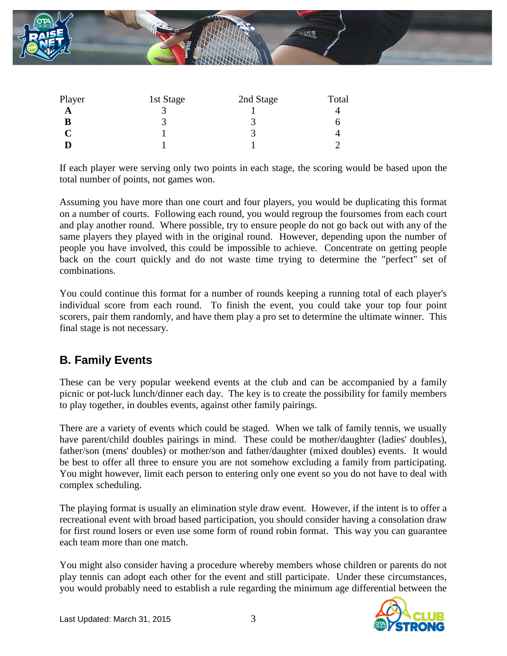

| Player | 1st Stage | 2nd Stage | Total |
|--------|-----------|-----------|-------|
| A      |           |           |       |
| В      |           |           |       |
|        |           |           |       |
|        |           |           |       |

If each player were serving only two points in each stage, the scoring would be based upon the total number of points, not games won.

Assuming you have more than one court and four players, you would be duplicating this format on a number of courts. Following each round, you would regroup the foursomes from each court and play another round. Where possible, try to ensure people do not go back out with any of the same players they played with in the original round. However, depending upon the number of people you have involved, this could be impossible to achieve. Concentrate on getting people back on the court quickly and do not waste time trying to determine the "perfect" set of combinations.

You could continue this format for a number of rounds keeping a running total of each player's individual score from each round. To finish the event, you could take your top four point scorers, pair them randomly, and have them play a pro set to determine the ultimate winner. This final stage is not necessary.

### **B. Family Events**

These can be very popular weekend events at the club and can be accompanied by a family picnic or pot-luck lunch/dinner each day. The key is to create the possibility for family members to play together, in doubles events, against other family pairings.

There are a variety of events which could be staged. When we talk of family tennis, we usually have parent/child doubles pairings in mind. These could be mother/daughter (ladies' doubles), father/son (mens' doubles) or mother/son and father/daughter (mixed doubles) events. It would be best to offer all three to ensure you are not somehow excluding a family from participating. You might however, limit each person to entering only one event so you do not have to deal with complex scheduling.

The playing format is usually an elimination style draw event. However, if the intent is to offer a recreational event with broad based participation, you should consider having a consolation draw for first round losers or even use some form of round robin format. This way you can guarantee each team more than one match.

You might also consider having a procedure whereby members whose children or parents do not play tennis can adopt each other for the event and still participate. Under these circumstances, you would probably need to establish a rule regarding the minimum age differential between the

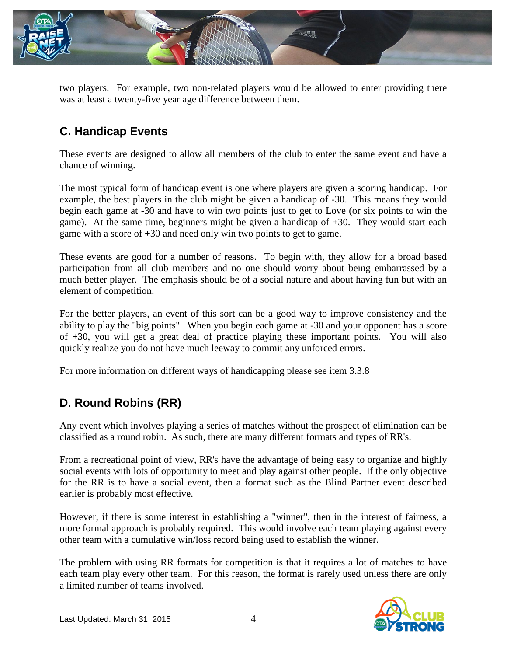

two players. For example, two non-related players would be allowed to enter providing there was at least a twenty-five year age difference between them.

## **C. Handicap Events**

These events are designed to allow all members of the club to enter the same event and have a chance of winning.

The most typical form of handicap event is one where players are given a scoring handicap. For example, the best players in the club might be given a handicap of -30. This means they would begin each game at -30 and have to win two points just to get to Love (or six points to win the game). At the same time, beginners might be given a handicap of +30. They would start each game with a score of +30 and need only win two points to get to game.

These events are good for a number of reasons. To begin with, they allow for a broad based participation from all club members and no one should worry about being embarrassed by a much better player. The emphasis should be of a social nature and about having fun but with an element of competition.

For the better players, an event of this sort can be a good way to improve consistency and the ability to play the "big points". When you begin each game at -30 and your opponent has a score of +30, you will get a great deal of practice playing these important points. You will also quickly realize you do not have much leeway to commit any unforced errors.

For more information on different ways of handicapping please see item 3.3.8

## **D. Round Robins (RR)**

Any event which involves playing a series of matches without the prospect of elimination can be classified as a round robin. As such, there are many different formats and types of RR's.

From a recreational point of view, RR's have the advantage of being easy to organize and highly social events with lots of opportunity to meet and play against other people. If the only objective for the RR is to have a social event, then a format such as the Blind Partner event described earlier is probably most effective.

However, if there is some interest in establishing a "winner", then in the interest of fairness, a more formal approach is probably required. This would involve each team playing against every other team with a cumulative win/loss record being used to establish the winner.

The problem with using RR formats for competition is that it requires a lot of matches to have each team play every other team. For this reason, the format is rarely used unless there are only a limited number of teams involved.